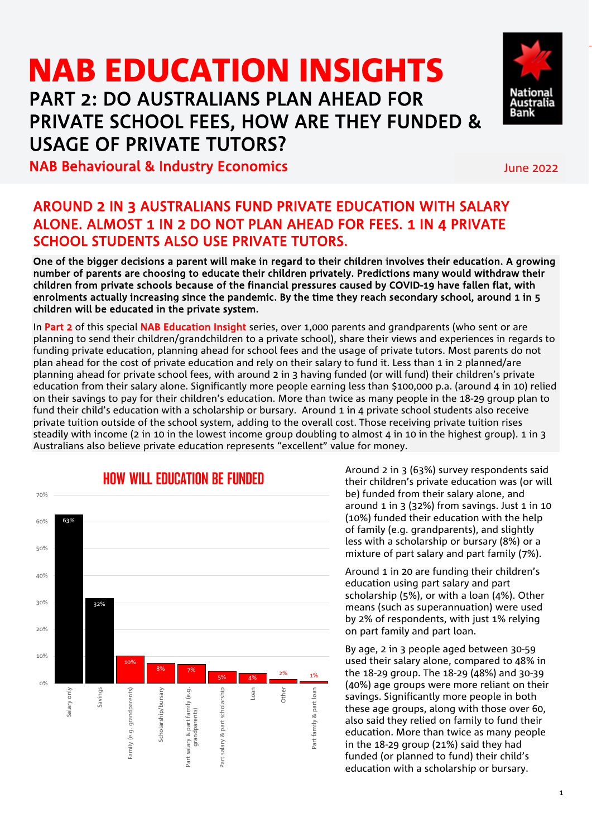# NAB EDUCATION INSIGHTSPART 2: DO AUSTRALIANS PLAN AHEAD FOR PRIVATE SCHOOL FEES, HOW ARE THEY FUNDED & USAGE OF PRIVATE TUTORS?



#### NAB Behavioural & Industry Economics and the Constantine Constantine Constantine Constantine Constantine Const

### AROUND 2 IN 3 AUSTRALIANS FUND PRIVATE EDUCATION WITH SALARY ALONE. ALMOST 1 IN 2 DO NOT PLAN AHEAD FOR FEES. 1 IN 4 PRIVATE SCHOOL STUDENTS ALSO USE PRIVATE TUTORS.

One of the bigger decisions a parent will make in regard to their children involves their education. A growing number of parents are choosing to educate their children privately. Predictions many would withdraw their children from private schools because of the financial pressures caused by COVID-19 have fallen flat, with enrolments actually increasing since the pandemic. By the time they reach secondary school, around 1 in 5 children will be educated in the private system.

In Part 2 of this special NAB Education Insight series, over 1,000 parents and grandparents (who sent or are planning to send their children/grandchildren to a private school), share their views and experiences in regards to funding private education, planning ahead for school fees and the usage of private tutors. Most parents do not plan ahead for the cost of private education and rely on their salary to fund it. Less than 1 in 2 planned/are planning ahead for private school fees, with around 2 in 3 having funded (or will fund) their children's private education from their salary alone. Significantly more people earning less than \$100,000 p.a. (around 4 in 10) relied on their savings to pay for their children's education. More than twice as many people in the 18-29 group plan to fund their child's education with a scholarship or bursary. Around 1 in 4 private school students also receive private tuition outside of the school system, adding to the overall cost. Those receiving private tuition rises steadily with income (2 in 10 in the lowest income group doubling to almost 4 in 10 in the highest group). 1 in 3 Australians also believe private education represents "excellent" value for money.



Around 2 in 3 (63%) survey respondents said their children's private education was (or will be) funded from their salary alone, and around 1 in 3 (32%) from savings. Just 1 in 10 (10%) funded their education with the help of family (e.g. grandparents), and slightly less with a scholarship or bursary (8%) or a mixture of part salary and part family (7%).

Around 1 in 20 are funding their children's education using part salary and part scholarship (5%), or with a loan (4%). Other means (such as superannuation) were used by 2% of respondents, with just 1% relying on part family and part loan.

By age, 2 in 3 people aged between 30-59 used their salary alone, compared to 48% in the 18-29 group. The 18-29 (48%) and 30-39 (40%) age groups were more reliant on their savings. Significantly more people in both these age groups, along with those over 60, also said they relied on family to fund their education. More than twice as many people in the 18-29 group (21%) said they had funded (or planned to fund) their child's education with a scholarship or bursary.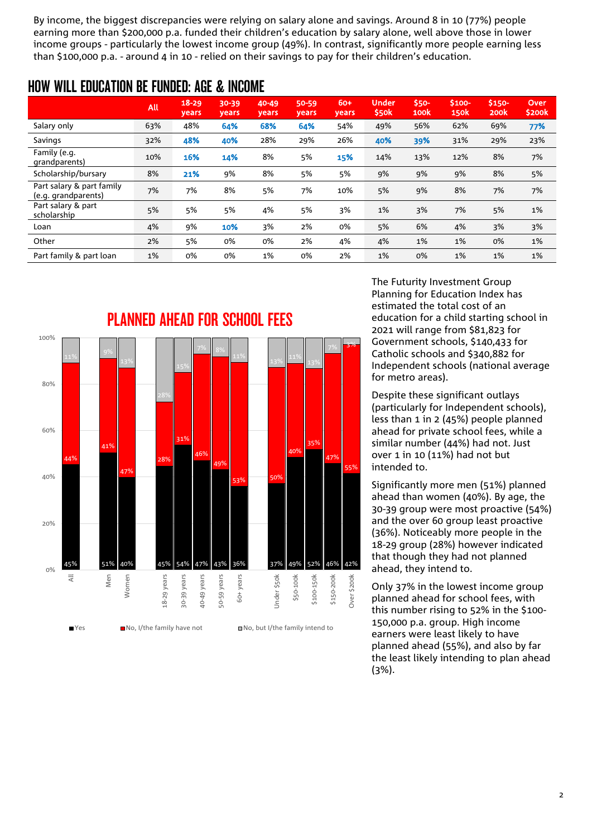By income, the biggest discrepancies were relying on salary alone and savings. Around 8 in 10 (77%) people earning more than \$200,000 p.a. funded their children's education by salary alone, well above those in lower income groups - particularly the lowest income group (49%). In contrast, significantly more people earning less than \$100,000 p.a. - around 4 in 10 - relied on their savings to pay for their children's education.

### HOW WILL EDUCATION BE FUNDED: AGE & INCOME

|                                                  | All | $18 - 29$<br><b>years</b> | 30-39<br><b>vears</b> | 40-49<br><b>years</b> | 50-59<br>years | 60+<br>years | <b>Under</b><br>\$50 <sub>k</sub> | \$50-<br>100 <sub>k</sub> | \$100-<br><b>150k</b> | \$150-<br>200 <sub>k</sub> | <b>Over</b><br>\$200k |
|--------------------------------------------------|-----|---------------------------|-----------------------|-----------------------|----------------|--------------|-----------------------------------|---------------------------|-----------------------|----------------------------|-----------------------|
| Salary only                                      | 63% | 48%                       | 64%                   | 68%                   | 64%            | 54%          | 49%                               | 56%                       | 62%                   | 69%                        | 77%                   |
| Savings                                          | 32% | 48%                       | 40%                   | 28%                   | 29%            | 26%          | 40%                               | 39%                       | 31%                   | 29%                        | 23%                   |
| Family (e.g.<br>grandparents)                    | 10% | 16%                       | 14%                   | 8%                    | 5%             | 15%          | 14%                               | 13%                       | 12%                   | 8%                         | 7%                    |
| Scholarship/bursary                              | 8%  | 21%                       | 9%                    | 8%                    | 5%             | 5%           | 9%                                | 9%                        | 9%                    | 8%                         | 5%                    |
| Part salary & part family<br>(e.g. grandparents) | 7%  | 7%                        | 8%                    | 5%                    | 7%             | 10%          | 5%                                | 9%                        | 8%                    | 7%                         | 7%                    |
| Part salary & part<br>scholarship                | 5%  | 5%                        | 5%                    | 4%                    | 5%             | 3%           | 1%                                | 3%                        | 7%                    | 5%                         | 1%                    |
| Loan                                             | 4%  | 9%                        | 10%                   | 3%                    | 2%             | 0%           | 5%                                | 6%                        | 4%                    | 3%                         | 3%                    |
| Other                                            | 2%  | 5%                        | 0%                    | 0%                    | 2%             | 4%           | 4%                                | 1%                        | 1%                    | 0%                         | 1%                    |
| Part family & part loan                          | 1%  | 0%                        | 0%                    | 1%                    | 0%             | 2%           | 1%                                | 0%                        | 1%                    | 1%                         | 1%                    |



The Futurity Investment Group Planning for Education Index has estimated the total cost of an education for a child starting school in 2021 will range from \$81,823 for Government schools, \$140,433 for Catholic schools and \$340,882 for Independent schools (national average for metro areas).

Despite these significant outlays (particularly for Independent schools), less than 1 in 2 (45%) people planned ahead for private school fees, while a similar number (44%) had not. Just over 1 in 10 (11%) had not but intended to.

Significantly more men (51%) planned ahead than women (40%). By age, the 30-39 group were most proactive (54%) and the over 60 group least proactive (36%). Noticeably more people in the 18-29 group (28%) however indicated that though they had not planned ahead, they intend to.

Only 37% in the lowest income group planned ahead for school fees, with this number rising to 52% in the \$100- 150,000 p.a. group. High income earners were least likely to have planned ahead (55%), and also by far the least likely intending to plan ahead (3%).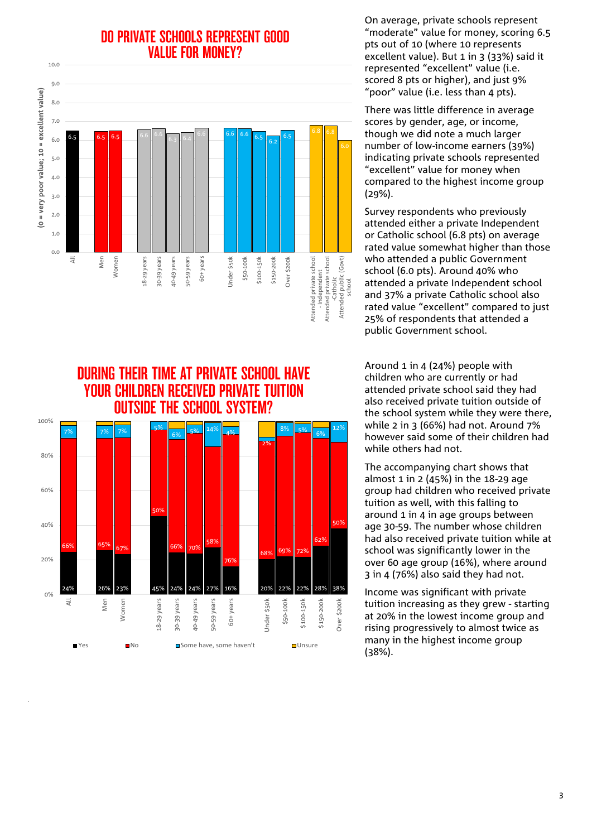### DO PRIVATE SCHOOLS REPRESENT GOOD VALUE FOR MONEY?



DURING THEIR TIME AT PRIVATE SCHOOL HAVE YOUR CHILDREN RECEIVED PRIVATE TUITION OUTSIDE THE SCHOOL SYSTEM? 100% 7% 7% 7% 5% 12% 6% 5% <sup>14%</sup> 4% 8% 5% 6% 2% 80% 60% 50% 50%  $40%$ คว 58% 66% 65% 67% 66% 70% 68% 69% 72% 20% 76% 24% 26% 23% 45% 24% 24% 27% 16% 20% 22% 22% 28% 38% 0% Men All Women L8-29 years 18-29 years years 30-39 years p-49 years 40-49 years 59 years 50-59 years 60+ years Jnder \$50k Under \$50k \$50-100k \$100-150k \$100-150k \$150-200k \$150-200k Over \$200k Over \$200k 39  $30 \overline{5}$  $\Box$  Yes  $\Box$  No  $\Box$  Some have, some haven't  $\Box$  Unsure

On average, private schools represent "moderate" value for money, scoring 6.5 pts out of 10 (where 10 represents excellent value). But 1 in 3 (33%) said it represented "excellent" value (i.e. scored 8 pts or higher), and just 9% "poor" value (i.e. less than 4 pts).

There was little difference in average scores by gender, age, or income, though we did note a much larger number of low-income earners (39%) indicating private schools represented "excellent" value for money when compared to the highest income group (29%).

Survey respondents who previously attended either a private Independent or Catholic school (6.8 pts) on average rated value somewhat higher than those who attended a public Government school (6.0 pts). Around 40% who attended a private Independent school and 37% a private Catholic school also rated value "excellent" compared to just 25% of respondents that attended a public Government school.

Around 1 in 4 (24%) people with children who are currently or had attended private school said they had also received private tuition outside of the school system while they were there, while 2 in 3 (66%) had not. Around 7% however said some of their children had while others had not.

The accompanying chart shows that almost 1 in 2 (45%) in the 18-29 age group had children who received private tuition as well, with this falling to around 1 in 4 in age groups between age 30-59. The number whose children had also received private tuition while at school was significantly lower in the over 60 age group (16%), where around 3 in 4 (76%) also said they had not.

Income was significant with private tuition increasing as they grew - starting at 20% in the lowest income group and rising progressively to almost twice as many in the highest income group (38%).